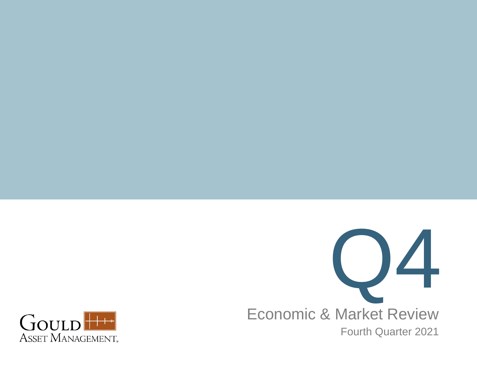

Economic & Market Review Fourth Quarter 2021

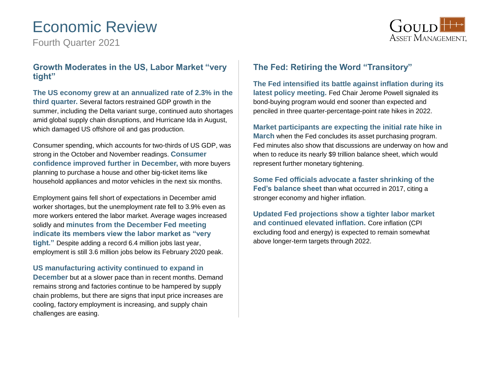# Economic Review

Fourth Quarter 2021



#### **Growth Moderates in the US, Labor Market "very tight"**

**The US economy grew at an annualized rate of 2.3% in the third quarter.** Several factors restrained GDP growth in the summer, including the Delta variant surge, continued auto shortages amid global supply chain disruptions, and Hurricane Ida in August, which damaged US offshore oil and gas production.

Consumer spending, which accounts for two-thirds of US GDP, was strong in the October and November readings. **Consumer confidence improved further in December,** with more buyers planning to purchase a house and other big-ticket items like household appliances and motor vehicles in the next six months.

Employment gains fell short of expectations in December amid worker shortages, but the unemployment rate fell to 3.9% even as more workers entered the labor market. Average wages increased solidly and **minutes from the December Fed meeting indicate its members view the labor market as "very tight."** Despite adding a record 6.4 million jobs last year, employment is still 3.6 million jobs below its February 2020 peak.

**US manufacturing activity continued to expand in December** but at a slower pace than in recent months. Demand remains strong and factories continue to be hampered by supply chain problems, but there are signs that input price increases are cooling, factory employment is increasing, and supply chain challenges are easing.

#### **The Fed: Retiring the Word "Transitory"**

**The Fed intensified its battle against inflation during its latest policy meeting.** Fed Chair Jerome Powell signaled its bond-buying program would end sooner than expected and penciled in three quarter-percentage-point rate hikes in 2022.

**Market participants are expecting the initial rate hike in March** when the Fed concludes its asset purchasing program. Fed minutes also show that discussions are underway on how and when to reduce its nearly \$9 trillion balance sheet, which would represent further monetary tightening.

**Some Fed officials advocate a faster shrinking of the Fed's balance sheet** than what occurred in 2017, citing a stronger economy and higher inflation.

**Updated Fed projections show a tighter labor market and continued elevated inflation.** Core inflation (CPI excluding food and energy) is expected to remain somewhat above longer-term targets through 2022.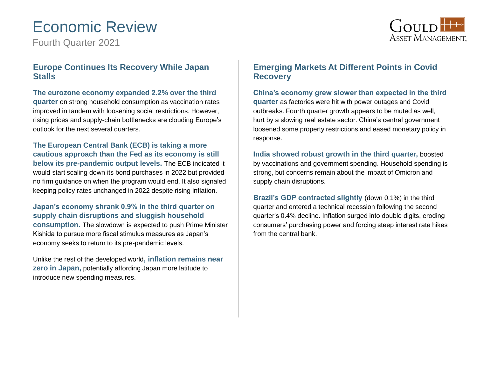# Economic Review

Fourth Quarter 2021



#### **Europe Continues Its Recovery While Japan Stalls**

**The eurozone economy expanded 2.2% over the third quarter** on strong household consumption as vaccination rates improved in tandem with loosening social restrictions. However, rising prices and supply-chain bottlenecks are clouding Europe's outlook for the next several quarters.

**The European Central Bank (ECB) is taking a more cautious approach than the Fed as its economy is still below its pre-pandemic output levels.** The ECB indicated it would start scaling down its bond purchases in 2022 but provided no firm guidance on when the program would end. It also signaled keeping policy rates unchanged in 2022 despite rising inflation.

**Japan's economy shrank 0.9% in the third quarter on supply chain disruptions and sluggish household consumption.** The slowdown is expected to push Prime Minister Kishida to pursue more fiscal stimulus measures as Japan's economy seeks to return to its pre-pandemic levels.

Unlike the rest of the developed world**, inflation remains near zero in Japan,** potentially affording Japan more latitude to introduce new spending measures.

#### **Emerging Markets At Different Points in Covid Recovery**

**China's economy grew slower than expected in the third quarter** as factories were hit with power outages and Covid outbreaks. Fourth quarter growth appears to be muted as well, hurt by a slowing real estate sector. China's central government loosened some property restrictions and eased monetary policy in response.

**India showed robust growth in the third quarter,** boosted by vaccinations and government spending. Household spending is strong, but concerns remain about the impact of Omicron and supply chain disruptions.

**Brazil's GDP contracted slightly** (down 0.1%) in the third quarter and entered a technical recession following the second quarter's 0.4% decline. Inflation surged into double digits, eroding consumers' purchasing power and forcing steep interest rate hikes from the central bank.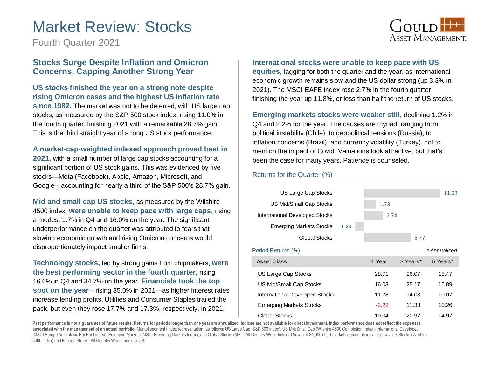### Market Review: Stocks



Fourth Quarter 2021

#### **Stocks Surge Despite Inflation and Omicron Concerns, Capping Another Strong Year**

**US stocks finished the year on a strong note despite rising Omicron cases and the highest US inflation rate since 1982.** The market was not to be deterred, with US large cap stocks, as measured by the S&P 500 stock index, rising 11.0% in the fourth quarter, finishing 2021 with a remarkable 28.7% gain. This is the third straight year of strong US stock performance.

#### **A market-cap-weighted indexed approach proved best in**

**2021,** with a small number of large cap stocks accounting for a significant portion of US stock gains. This was evidenced by five stocks—Meta (Facebook), Apple, Amazon, Microsoft, and Google—accounting for nearly a third of the S&P 500's 28.7% gain.

**Mid and small cap US stocks,** as measured by the Wilshire 4500 index, **were unable to keep pace with large caps,** rising a modest 1.7% in Q4 and 16.0% on the year. The significant underperformance on the quarter was attributed to fears that slowing economic growth and rising Omicron concerns would disproportionately impact smaller firms.

**Technology stocks,** led by strong gains from chipmakers, **were the best performing sector in the fourth quarter,** rising 16.6% in Q4 and 34.7% on the year. **Financials took the top spot on the year**—rising 35.0% in 2021—as higher interest rates increase lending profits. Utilities and Consumer Staples trailed the pack, but even they rose 17.7% and 17.3%, respectively, in 2021.

**International stocks were unable to keep pace with US equities,** lagging for both the quarter and the year, as international economic growth remains slow and the US dollar strong (up 3.3% in 2021). The MSCI EAFE index rose 2.7% in the fourth quarter, finishing the year up 11.8%, or less than half the return of US stocks.

**Emerging markets stocks were weaker still,** declining 1.2% in Q4 and 2.2% for the year. The causes are myriad, ranging from political instability (Chile), to geopolitical tensions (Russia), to inflation concerns (Brazil), and currency volatility (Turkey), not to mention the impact of Covid. Valuations look attractive, but that's been the case for many years. Patience is counseled.

#### Returns for the Quarter (%)

| US Large Cap Stocks            |         |         | 11.03    |              |
|--------------------------------|---------|---------|----------|--------------|
| US Mid/Small Cap Stocks        |         | 1.73    |          |              |
| International Developed Stocks |         | 2.74    |          |              |
| <b>Emerging Markets Stocks</b> | $-1.24$ |         |          |              |
| Global Stocks                  |         |         | 6.77     |              |
| Period Returns (%)             |         |         |          | * Annualized |
| <b>Asset Class</b>             |         | 1 Year  | 3 Years* | 5 Years*     |
| US Large Cap Stocks            |         | 28.71   | 26.07    | 18.47        |
| US Mid/Small Cap Stocks        |         | 16.03   | 25.17    | 15.89        |
| International Developed Stocks |         | 11.78   | 14.08    | 10.07        |
| <b>Emerging Markets Stocks</b> |         | $-2.22$ | 11.33    | 10.26        |
| <b>Global Stocks</b>           |         | 19.04   | 20.97    | 14.97        |

Past performance is not a guarantee of future results. Returns for periods longer than one year are annualized. Indices are not available for direct investment. Index performance does not reflect the expenses **associated with the management of an actual portfolio**. Market segment (index representation) as follows: US Large Cap (S&P 500 Index), US Mid/Small Cap (Wilshire 4500 Completion Index), International Developed (MSCI Europe Australasia Far East Index), Emerging Markets (MSCI Emerging Markets Index), and Global Stocks (MSCI All Country World Index). Growth of \$1,000 chart market segmentations as follows: US Stocks (Wilshire 5000 Index) and Foreign Stocks (All Country World Index ex US)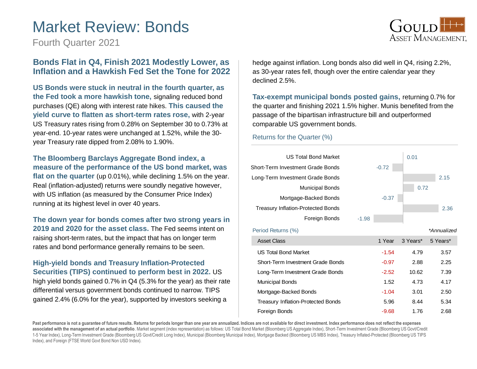### Market Review: Bonds

Fourth Quarter 2021

#### **Bonds Flat in Q4, Finish 2021 Modestly Lower, as Inflation and a Hawkish Fed Set the Tone for 2022**

**US Bonds were stuck in neutral in the fourth quarter, as the Fed took a more hawkish tone,** signaling reduced bond purchases (QE) along with interest rate hikes. **This caused the yield curve to flatten as short-term rates rose,** with 2-year US Treasury rates rising from 0.28% on September 30 to 0.73% at year-end. 10-year rates were unchanged at 1.52%, while the 30 year Treasury rate dipped from 2.08% to 1.90%.

#### **The Bloomberg Barclays Aggregate Bond index, a measure of the performance of the US bond market, was**

**flat on the quarter** (up 0.01%), while declining 1.5% on the year. Real (inflation-adjusted) returns were soundly negative however, with US inflation (as measured by the Consumer Price Index) running at its highest level in over 40 years.

### **The down year for bonds comes after two strong years in**

**2019 and 2020 for the asset class.** The Fed seems intent on raising short-term rates, but the impact that has on longer term rates and bond performance generally remains to be seen.

#### **High-yield bonds and Treasury Inflation-Protected Securities (TIPS) continued to perform best in 2022.** US high yield bonds gained 0.7% in Q4 (5.3% for the year) as their rate differential versus government bonds continued to narrow. TIPS gained 2.4% (6.0% for the year), supported by investors seeking a

hedge against inflation. Long bonds also did well in Q4, rising 2.2%, as 30-year rates fell, though over the entire calendar year they declined 2.5%.

**Tax-exempt municipal bonds posted gains,** returning 0.7% for the quarter and finishing 2021 1.5% higher. Munis benefited from the passage of the bipartisan infrastructure bill and outperformed comparable US government bonds.

#### Returns for the Quarter (%)



Past performance is not a guarantee of future results. Returns for periods longer than one year are annualized. Indices are not available for direct investment. Index performance does not reflect the expenses **associated with the management of an actual portfolio**. Market segment (index representation) as follows: US Total Bond Market (Bloomberg US Aggregate Index), Short-Term Investment Grade (Bloomberg US Govt/Credit 1-5 Year Index), Long-Term Investment Grade (Bloomberg US Govt/Credit Long Index), Municipal (Bloomberg Municipal Index), Mortgage Backed (Bloomberg US MBS Index), Treasury Inflated-Protected (Bloomberg US TIPS Index), and Foreign (FTSE World Govt Bond Non USD Index).

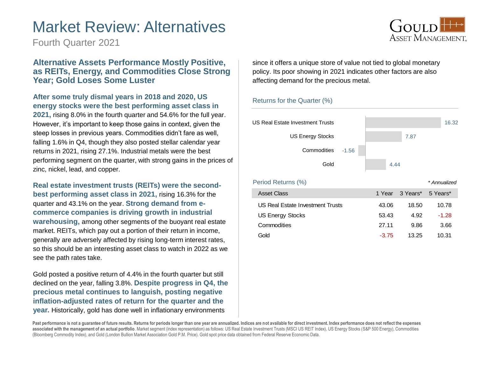### Market Review: Alternatives

Fourth Quarter 2021

#### **Alternative Assets Performance Mostly Positive, as REITs, Energy, and Commodities Close Strong Year; Gold Loses Some Luster**

#### **After some truly dismal years in 2018 and 2020, US energy stocks were the best performing asset class in**

**2021,** rising 8.0% in the fourth quarter and 54.6% for the full year. However, it's important to keep those gains in context, given the steep losses in previous years. Commodities didn't fare as well, falling 1.6% in Q4, though they also posted stellar calendar year returns in 2021, rising 27.1%. Industrial metals were the best performing segment on the quarter, with strong gains in the prices of zinc, nickel, lead, and copper.

**Real estate investment trusts (REITs) were the secondbest performing asset class in 2021,** rising 16.3% for the quarter and 43.1% on the year. **Strong demand from ecommerce companies is driving growth in industrial warehousing,** among other segments of the buoyant real estate market. REITs, which pay out a portion of their return in income, generally are adversely affected by rising long-term interest rates, so this should be an interesting asset class to watch in 2022 as we see the path rates take.

Gold posted a positive return of 4.4% in the fourth quarter but still declined on the year, falling 3.8%. **Despite progress in Q4, the precious metal continues to languish, posting negative inflation-adjusted rates of return for the quarter and the year.** Historically, gold has done well in inflationary environments

since it offers a unique store of value not tied to global monetary policy. Its poor showing in 2021 indicates other factors are also affecting demand for the precious metal.

#### Returns for the Quarter (%)



| Period Returns (%)               |          |          | * Annualized |
|----------------------------------|----------|----------|--------------|
| <b>Asset Class</b>               | 1 Year L | 3 Years* | 5 Years*     |
| US Real Estate Investment Trusts | 43.06    | 18.50    | 10.78        |
| <b>US Energy Stocks</b>          | 53.43    | 4.92     | $-1.28$      |
| Commodities                      | 27.11    | 9.86     | 3.66         |
| Gold                             | $-3.75$  | 13.25    | 10.31        |
|                                  |          |          |              |

Past performance is not a guarantee of future results. Returns for periods longer than one year are annualized. Indices are not available for direct investment. Index performance does not reflect the expenses associated with the management of an actual portfolio. Market segment (index representation) as follows: US Real Estate Investment Trusts (MSCI US REIT Index), US Energy Stocks (S&P 500 Energy), Commodities (Bloomberg Commodity Index), and Gold (London Bullion Market Association Gold P.M. Price). Gold spot price data obtained from Federal Reserve Economic Data.

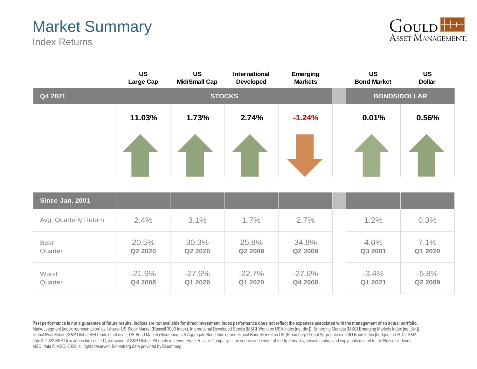# Market Summary

Index Returns



|                        | <b>US</b><br>Large Cap | <b>US</b><br>International<br><b>Mid/Small Cap</b><br><b>Developed</b> |                     | <b>Emerging</b><br><b>Markets</b> |  | <b>US</b><br><b>Bond Market</b> | <b>US</b><br><b>Dollar</b> |
|------------------------|------------------------|------------------------------------------------------------------------|---------------------|-----------------------------------|--|---------------------------------|----------------------------|
| Q4 2021                |                        | <b>STOCKS</b>                                                          |                     | <b>BONDS/DOLLAR</b>               |  |                                 |                            |
|                        | 11.03%                 | 1.73%                                                                  | 2.74%               | $-1.24%$                          |  | 0.01%                           | 0.56%                      |
|                        |                        |                                                                        |                     |                                   |  |                                 |                            |
| Since Jan. 2001        |                        |                                                                        |                     |                                   |  |                                 |                            |
| Avg. Quarterly Return  | 2.4%                   | 3.1%                                                                   | 1.7%                | 2.7%                              |  | 1.2%                            | 0.3%                       |
| <b>Best</b><br>Quarter | 20.5%<br>Q2 2020       | 30.3%<br>Q2 2020                                                       | 25.8%<br>Q2 2009    | 34.8%<br>Q2 2009                  |  | 4.6%<br>Q3 2001                 | 7.1%<br>Q1 2020            |
| Worst<br>Quarter       | $-21.9%$<br>Q4 2008    | $-27.9%$<br>Q1 2020                                                    | $-22.7%$<br>Q1 2020 | $-27.6%$<br>Q4 2008               |  | $-3.4%$<br>Q1 2021              | $-5.8%$<br>Q2 2009         |

Past performance is not a guarantee of future results. Indices are not available for direct investment. Index performance does not reflect the expenses associated with the management of an actual portfolio. Market segment (index representation) as follows: US Stock Market (Russell 3000 Index), International Developed Stocks (MSCI World ex USA Index [net div.]), Emerging Markets (MSCI Emerging Markets Index [net div.]), Global Real Estate (S&P Global REIT Index [net div.]), US Bond Market (Bloomberg US Aggregate Bond Index), and Global Bond Market ex US (Bloomberg Global Aggregate ex-USD Bond Index [hedged to USD]). S&P data © 2022 S&P Dow Jones Indices LLC, a division of S&P Global. All rights reserved. Frank Russell Company is the source and owner of the trademarks, service marks, and copyrights related to the Russell Indexes. MSCI data © MSCI 2022, all rights reserved. Bloomberg data provided by Bloomberg.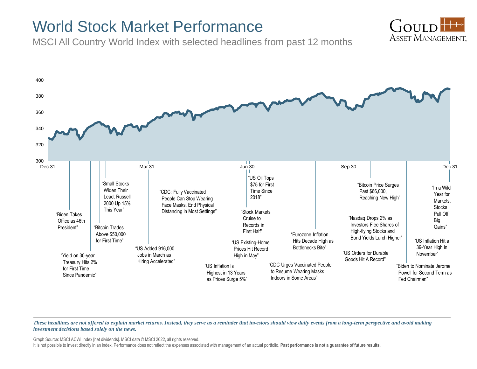### World Stock Market Performance

MSCI All Country World Index with selected headlines from past 12 months





*These headlines are not offered to explain market returns. Instead, they serve as a reminder that investors should view daily events from a long-term perspective and avoid making investment decisions based solely on the news.*

Graph Source: MSCI ACWI Index [net dividends]. MSCI data © MSCI 2022, all rights reserved.

It is not possible to invest directly in an index. Performance does not reflect the expenses associated with management of an actual portfolio. **Past performance is not a guarantee of future results.**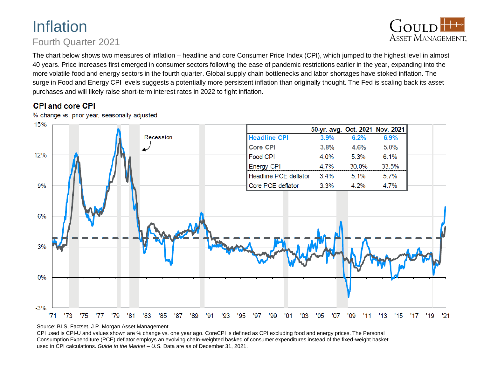### Inflation Fourth Quarter 2021



The chart below shows two measures of inflation – headline and core Consumer Price Index (CPI), which jumped to the highest level in almost 40 years. Price increases first emerged in consumer sectors following the ease of pandemic restrictions earlier in the year, expanding into the more volatile food and energy sectors in the fourth quarter. Global supply chain bottlenecks and labor shortages have stoked inflation. The surge in Food and Energy CPI levels suggests a potentially more persistent inflation than originally thought. The Fed is scaling back its asset purchases and will likely raise short-term interest rates in 2022 to fight inflation.

### **CPI and core CPI**

% change vs. prior year, seasonally adjusted



Source: BLS, Factset, J.P. Morgan Asset Management.

CPI used is CPI-U and values shown are % change vs. one year ago. CoreCPI is defined as CPI excluding food and energy prices. The Personal Consumption Expenditure (PCE) deflator employs an evolving chain-weighted basked of consumer expenditures instead of the fixed-weight basket used in CPI calculations. *Guide to the Market – U.S.* Data are as of December 31, 2021.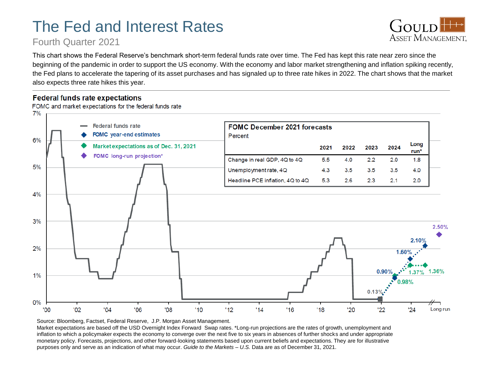# The Fed and Interest Rates

### Fourth Quarter 2021



This chart shows the Federal Reserve's benchmark short-term federal funds rate over time. The Fed has kept this rate near zero since the beginning of the pandemic in order to support the US economy. With the economy and labor market strengthening and inflation spiking recently, the Fed plans to accelerate the tapering of its asset purchases and has signaled up to three rate hikes in 2022. The chart shows that the market also expects three rate hikes this year.

#### **Federal funds rate expectations**

FOMC and market expectations for the federal funds rate



Source: Bloomberg, Factset, Federal Reserve, J.P. Morgan Asset Management.

Market expectations are based off the USD Overnight Index Forward Swap rates. \*Long-run projections are the rates of growth, unemployment and inflation to which a policymaker expects the economy to converge over the next five to six years in absences of further shocks and under appropriate monetary policy. Forecasts, projections, and other forward-looking statements based upon current beliefs and expectations. They are for illustrative purposes only and serve as an indication of what may occur. *Guide to the Markets – U.S.* Data are as of December 31, 2021.